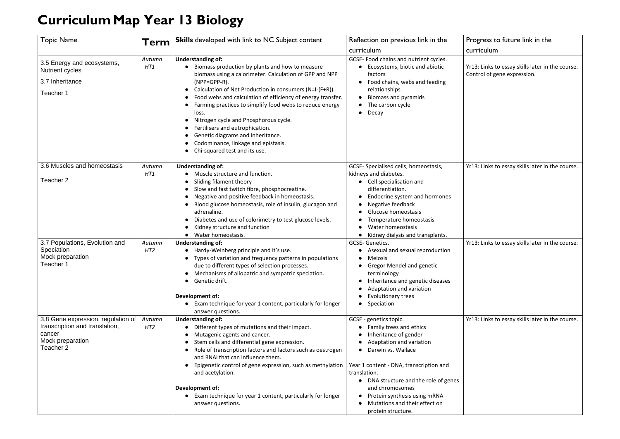## **CurriculumMap Year 13 Biology**

## Progress to future link in the curriculum

Yr13: Links to essay skills later in the course. Control of gene expression.

| <b>Topic Name</b>                                                                                               | Term                      | <b>Skills</b> developed with link to NC Subject content                                                                                                                                                                                                                                                                                                                                                                                                                                                                                                            | Reflection on previous link in the<br>curriculum                                                                                                                                                                                                                                                                                         |
|-----------------------------------------------------------------------------------------------------------------|---------------------------|--------------------------------------------------------------------------------------------------------------------------------------------------------------------------------------------------------------------------------------------------------------------------------------------------------------------------------------------------------------------------------------------------------------------------------------------------------------------------------------------------------------------------------------------------------------------|------------------------------------------------------------------------------------------------------------------------------------------------------------------------------------------------------------------------------------------------------------------------------------------------------------------------------------------|
| 3.5 Energy and ecosystems,<br><b>Nutrient cycles</b><br>3.7 Inheritance<br>Teacher 1                            | Autumn<br>HT1             | <b>Understanding of:</b><br>Biomass production by plants and how to measure<br>$\bullet$<br>biomass using a calorimeter. Calculation of GPP and NPP<br>$(NPP = GPP - R)$ .<br>Calculation of Net Production in consumers (N=I-(F+R)).<br>Food webs and calculation of efficiency of energy transfer.<br>Farming practices to simplify food webs to reduce energy<br>loss.<br>Nitrogen cycle and Phosphorous cycle.<br>Fertilisers and eutrophication.<br>Genetic diagrams and inheritance.<br>Codominance, linkage and epistasis.<br>Chi-squared test and its use. | GCSE- Food chains and nutrient cycles.<br>Ecosystems, biotic and abiotic<br>factors<br>Food chains, webs and feeding<br>relationships<br><b>Biomass and pyramids</b><br>The carbon cycle<br>Decay<br>$\bullet$                                                                                                                           |
| 3.6 Muscles and homeostasis<br>Teacher 2                                                                        | Autumn<br>HT1             | <b>Understanding of:</b><br>Muscle structure and function.<br>Sliding filament theory<br>Slow and fast twitch fibre, phosphocreatine.<br>Negative and positive feedback in homeostasis.<br>Blood glucose homeostasis, role of insulin, glucagon and<br>adrenaline.<br>Diabetes and use of colorimetry to test glucose levels.<br>Kidney structure and function<br>Water homeostasis.                                                                                                                                                                               | GCSE-Specialised cells, homeostasis,<br>kidneys and diabetes.<br>• Cell specialisation and<br>differentiation.<br>Endocrine system and hormones<br>Negative feedback<br>Glucose homeostasis<br>Temperature homeostasis<br>Water homeostasis<br>Kidney dialysis and transplants.                                                          |
| 3.7 Populations, Evolution and<br>Speciation<br>Mock preparation<br>Teacher 1                                   | Autumn<br>HT <sub>2</sub> | <b>Understanding of:</b><br>Hardy-Weinberg principle and it's use.<br>Types of variation and frequency patterns in populations<br>due to different types of selection processes.<br>Mechanisms of allopatric and sympatric speciation.<br>Genetic drift.<br>Development of:<br>Exam technique for year 1 content, particularly for longer<br>answer questions.                                                                                                                                                                                                     | <b>GCSE-Genetics.</b><br>Asexual and sexual reproduction<br><b>Meiosis</b><br><b>Gregor Mendel and genetic</b><br>terminology<br>Inheritance and genetic diseases<br>Adaptation and variation<br>Evolutionary trees<br>Speciation                                                                                                        |
| 3.8 Gene expression, regulation of<br>transcription and translation,<br>cancer<br>Mock preparation<br>Teacher 2 | Autumn<br>HT <sub>2</sub> | <b>Understanding of:</b><br>Different types of mutations and their impact.<br>Mutagenic agents and cancer.<br>Stem cells and differential gene expression.<br>Role of transcription factors and factors such as oestrogen<br>and RNAi that can influence them.<br>Epigenetic control of gene expression, such as methylation<br>and acetylation.<br><b>Development of:</b><br>Exam technique for year 1 content, particularly for longer<br>answer questions.                                                                                                      | GCSE - genetics topic.<br>Family trees and ethics<br>Inheritance of gender<br>Adaptation and variation<br>Darwin vs. Wallace<br>Year 1 content - DNA, transcription and<br>translation.<br>DNA structure and the role of genes<br>and chromosomes<br>Protein synthesis using mRNA<br>Mutations and their effect on<br>protein structure. |

Yr13: Links to essay skills later in the course.

Yr13: Links to essay skills later in the course.

Yr13: Links to essay skills later in the course.